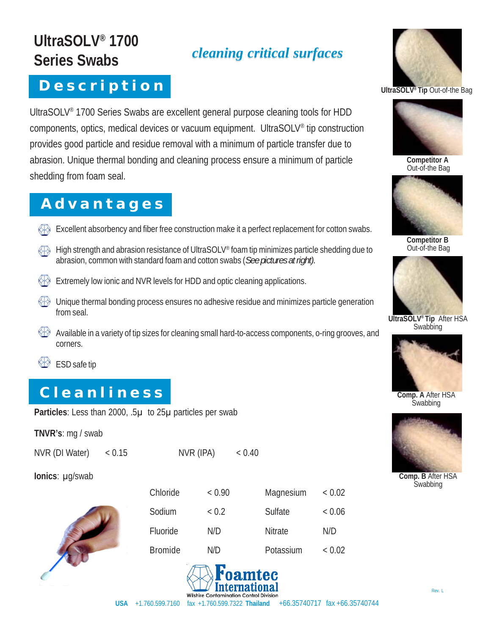# **UltraSOLV® 1700 Series Swabs**

### **D e s c r i p t i o n**

UltraSOLV® 1700 Series Swabs are excellent general purpose cleaning tools for HDD components, optics, medical devices or vacuum equipment. UltraSOLV® tip construction provides good particle and residue removal with a minimum of particle transfer due to abrasion. Unique thermal bonding and cleaning process ensure a minimum of particle shedding from foam seal.

*cleaning critical surfaces*

#### **A d v a n t a g e s**

- $\leftrightarrow$  Excellent absorbency and fiber free construction make it a perfect replacement for cotton swabs.
- High strength and abrasion resistance of UltraSOLV® foam tip minimizes particle shedding due to abrasion, common with standard foam and cotton swabs (*See pictures at right).*
- Extremely low ionic and NVR levels for HDD and optic cleaning applications.
- Unique thermal bonding process ensures no adhesive residue and minimizes particle generation from seal.
- Available in a variety of tip sizes for cleaning small hard-to-access components, o-ring grooves, and corners.
- ESD safe tip

### **C l e a n l i n e s s**

Particles: Less than 2000, .5µ to 25µ particles per swab

**TNVR's**: mg / swab

NVR (DI Water) < 0.15 NVR (IPA) < 0.40

**Ionics**: μg/swab



| Chloride       | < 0.90 | Magnesium | < 0.02 |
|----------------|--------|-----------|--------|
| Sodium         | ~< 0.2 | Sulfate   | < 0.06 |
| Fluoride       | N/D    | Nitrate   | N/D    |
| <b>Bromide</b> | N/D    | Potassium | < 0.02 |





**UltraSOLV® Tip** Out-of-the Bag



**Competitor A** Out-of-the Bag



**Competitor B** Out-of-the Bag



**UltraSOLV® Tip** After HSA **Swabbing** 



**Comp. A** After HSA **Swabbing** 



**Comp. B** After HSA **Swabbing**